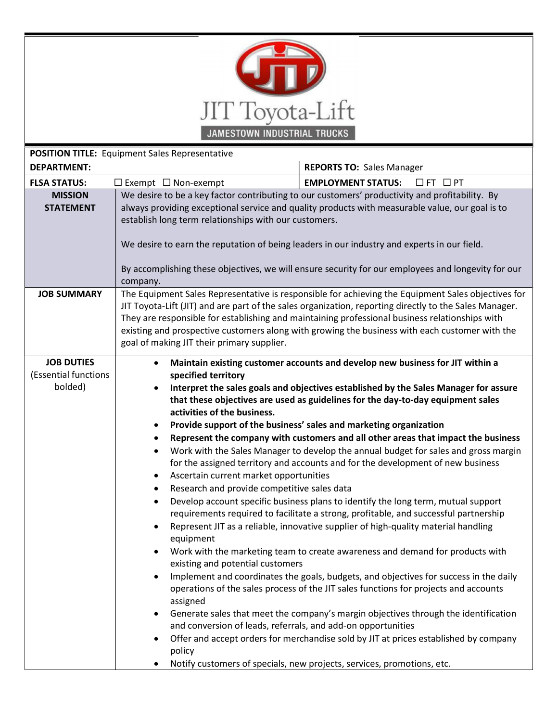

| <b>POSITION TITLE:</b> Equipment Sales Representative |                                                                                                                                                                                                                                                                                                                                                                                                                                                                                                                                                                                                                                                                                                                                                                                                                                                                                                                                                                                                                                                                                                                                                                                                                                                                                                                                                                                                                                                                                                                                                                                                                                                                                                                                                                                      |                                                                                                                                                                                                                                                                                                                                                                                                                  |  |
|-------------------------------------------------------|--------------------------------------------------------------------------------------------------------------------------------------------------------------------------------------------------------------------------------------------------------------------------------------------------------------------------------------------------------------------------------------------------------------------------------------------------------------------------------------------------------------------------------------------------------------------------------------------------------------------------------------------------------------------------------------------------------------------------------------------------------------------------------------------------------------------------------------------------------------------------------------------------------------------------------------------------------------------------------------------------------------------------------------------------------------------------------------------------------------------------------------------------------------------------------------------------------------------------------------------------------------------------------------------------------------------------------------------------------------------------------------------------------------------------------------------------------------------------------------------------------------------------------------------------------------------------------------------------------------------------------------------------------------------------------------------------------------------------------------------------------------------------------------|------------------------------------------------------------------------------------------------------------------------------------------------------------------------------------------------------------------------------------------------------------------------------------------------------------------------------------------------------------------------------------------------------------------|--|
| <b>DEPARTMENT:</b>                                    |                                                                                                                                                                                                                                                                                                                                                                                                                                                                                                                                                                                                                                                                                                                                                                                                                                                                                                                                                                                                                                                                                                                                                                                                                                                                                                                                                                                                                                                                                                                                                                                                                                                                                                                                                                                      | <b>REPORTS TO: Sales Manager</b>                                                                                                                                                                                                                                                                                                                                                                                 |  |
| <b>FLSA STATUS:</b>                                   | $\Box$ Exempt $\Box$ Non-exempt                                                                                                                                                                                                                                                                                                                                                                                                                                                                                                                                                                                                                                                                                                                                                                                                                                                                                                                                                                                                                                                                                                                                                                                                                                                                                                                                                                                                                                                                                                                                                                                                                                                                                                                                                      | <b>EMPLOYMENT STATUS:</b><br>$\Box$ FT $\Box$ PT                                                                                                                                                                                                                                                                                                                                                                 |  |
| <b>MISSION</b><br><b>STATEMENT</b>                    | establish long term relationships with our customers.<br>company.                                                                                                                                                                                                                                                                                                                                                                                                                                                                                                                                                                                                                                                                                                                                                                                                                                                                                                                                                                                                                                                                                                                                                                                                                                                                                                                                                                                                                                                                                                                                                                                                                                                                                                                    | We desire to be a key factor contributing to our customers' productivity and profitability. By<br>always providing exceptional service and quality products with measurable value, our goal is to<br>We desire to earn the reputation of being leaders in our industry and experts in our field.<br>By accomplishing these objectives, we will ensure security for our employees and longevity for our           |  |
| <b>JOB SUMMARY</b>                                    | goal of making JIT their primary supplier.                                                                                                                                                                                                                                                                                                                                                                                                                                                                                                                                                                                                                                                                                                                                                                                                                                                                                                                                                                                                                                                                                                                                                                                                                                                                                                                                                                                                                                                                                                                                                                                                                                                                                                                                           | The Equipment Sales Representative is responsible for achieving the Equipment Sales objectives for<br>JIT Toyota-Lift (JIT) and are part of the sales organization, reporting directly to the Sales Manager.<br>They are responsible for establishing and maintaining professional business relationships with<br>existing and prospective customers along with growing the business with each customer with the |  |
| <b>JOB DUTIES</b><br>(Essential functions<br>bolded)  | Maintain existing customer accounts and develop new business for JIT within a<br>$\bullet$<br>specified territory<br>Interpret the sales goals and objectives established by the Sales Manager for assure<br>$\bullet$<br>that these objectives are used as guidelines for the day-to-day equipment sales<br>activities of the business.<br>Provide support of the business' sales and marketing organization<br>٠<br>Represent the company with customers and all other areas that impact the business<br>٠<br>Work with the Sales Manager to develop the annual budget for sales and gross margin<br>٠<br>for the assigned territory and accounts and for the development of new business<br>Ascertain current market opportunities<br>٠<br>Research and provide competitive sales data<br>$\bullet$<br>Develop account specific business plans to identify the long term, mutual support<br>$\bullet$<br>requirements required to facilitate a strong, profitable, and successful partnership<br>Represent JIT as a reliable, innovative supplier of high-quality material handling<br>equipment<br>Work with the marketing team to create awareness and demand for products with<br>٠<br>existing and potential customers<br>Implement and coordinates the goals, budgets, and objectives for success in the daily<br>٠<br>operations of the sales process of the JIT sales functions for projects and accounts<br>assigned<br>Generate sales that meet the company's margin objectives through the identification<br>٠<br>and conversion of leads, referrals, and add-on opportunities<br>Offer and accept orders for merchandise sold by JIT at prices established by company<br>$\bullet$<br>policy<br>Notify customers of specials, new projects, services, promotions, etc. |                                                                                                                                                                                                                                                                                                                                                                                                                  |  |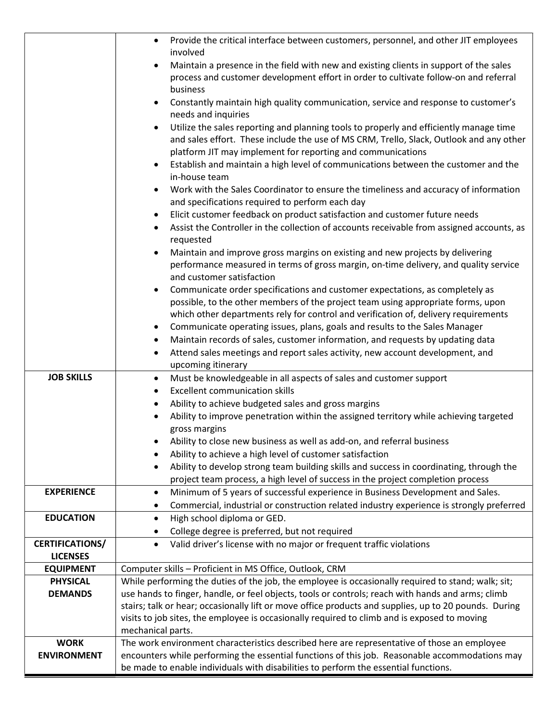|                        | Provide the critical interface between customers, personnel, and other JIT employees<br>$\bullet$                                                                                              |  |
|------------------------|------------------------------------------------------------------------------------------------------------------------------------------------------------------------------------------------|--|
|                        | involved                                                                                                                                                                                       |  |
|                        | Maintain a presence in the field with new and existing clients in support of the sales<br>$\bullet$                                                                                            |  |
|                        | process and customer development effort in order to cultivate follow-on and referral                                                                                                           |  |
|                        | business                                                                                                                                                                                       |  |
|                        | Constantly maintain high quality communication, service and response to customer's<br>$\bullet$                                                                                                |  |
|                        | needs and inquiries                                                                                                                                                                            |  |
|                        | Utilize the sales reporting and planning tools to properly and efficiently manage time<br>$\bullet$<br>and sales effort. These include the use of MS CRM, Trello, Slack, Outlook and any other |  |
|                        | platform JIT may implement for reporting and communications                                                                                                                                    |  |
|                        | Establish and maintain a high level of communications between the customer and the<br>$\bullet$                                                                                                |  |
|                        | in-house team                                                                                                                                                                                  |  |
|                        | Work with the Sales Coordinator to ensure the timeliness and accuracy of information<br>$\bullet$                                                                                              |  |
|                        | and specifications required to perform each day                                                                                                                                                |  |
|                        | Elicit customer feedback on product satisfaction and customer future needs<br>$\bullet$                                                                                                        |  |
|                        | Assist the Controller in the collection of accounts receivable from assigned accounts, as<br>$\bullet$                                                                                         |  |
|                        | requested                                                                                                                                                                                      |  |
|                        | Maintain and improve gross margins on existing and new projects by delivering<br>$\bullet$                                                                                                     |  |
|                        | performance measured in terms of gross margin, on-time delivery, and quality service                                                                                                           |  |
|                        | and customer satisfaction                                                                                                                                                                      |  |
|                        | Communicate order specifications and customer expectations, as completely as<br>$\bullet$                                                                                                      |  |
|                        | possible, to the other members of the project team using appropriate forms, upon                                                                                                               |  |
|                        | which other departments rely for control and verification of, delivery requirements                                                                                                            |  |
|                        | Communicate operating issues, plans, goals and results to the Sales Manager<br>$\bullet$                                                                                                       |  |
|                        | Maintain records of sales, customer information, and requests by updating data<br>$\bullet$                                                                                                    |  |
|                        | Attend sales meetings and report sales activity, new account development, and<br>$\bullet$                                                                                                     |  |
| <b>JOB SKILLS</b>      | upcoming itinerary                                                                                                                                                                             |  |
|                        | Must be knowledgeable in all aspects of sales and customer support<br>$\bullet$<br><b>Excellent communication skills</b>                                                                       |  |
|                        | $\bullet$<br>Ability to achieve budgeted sales and gross margins<br>$\bullet$                                                                                                                  |  |
|                        | Ability to improve penetration within the assigned territory while achieving targeted                                                                                                          |  |
|                        | gross margins                                                                                                                                                                                  |  |
|                        | Ability to close new business as well as add-on, and referral business                                                                                                                         |  |
|                        | Ability to achieve a high level of customer satisfaction                                                                                                                                       |  |
|                        | Ability to develop strong team building skills and success in coordinating, through the<br>$\bullet$                                                                                           |  |
|                        | project team process, a high level of success in the project completion process                                                                                                                |  |
| <b>EXPERIENCE</b>      | Minimum of 5 years of successful experience in Business Development and Sales.<br>$\bullet$                                                                                                    |  |
|                        | Commercial, industrial or construction related industry experience is strongly preferred<br>$\bullet$                                                                                          |  |
| <b>EDUCATION</b>       | High school diploma or GED.<br>$\bullet$                                                                                                                                                       |  |
|                        | College degree is preferred, but not required                                                                                                                                                  |  |
| <b>CERTIFICATIONS/</b> | Valid driver's license with no major or frequent traffic violations<br>$\bullet$                                                                                                               |  |
| <b>LICENSES</b>        |                                                                                                                                                                                                |  |
| <b>EQUIPMENT</b>       | Computer skills - Proficient in MS Office, Outlook, CRM                                                                                                                                        |  |
| <b>PHYSICAL</b>        | While performing the duties of the job, the employee is occasionally required to stand; walk; sit;                                                                                             |  |
| <b>DEMANDS</b>         | use hands to finger, handle, or feel objects, tools or controls; reach with hands and arms; climb                                                                                              |  |
|                        | stairs; talk or hear; occasionally lift or move office products and supplies, up to 20 pounds. During                                                                                          |  |
|                        | visits to job sites, the employee is occasionally required to climb and is exposed to moving<br>mechanical parts.                                                                              |  |
| <b>WORK</b>            | The work environment characteristics described here are representative of those an employee                                                                                                    |  |
| <b>ENVIRONMENT</b>     | encounters while performing the essential functions of this job. Reasonable accommodations may                                                                                                 |  |
|                        | be made to enable individuals with disabilities to perform the essential functions.                                                                                                            |  |
|                        |                                                                                                                                                                                                |  |